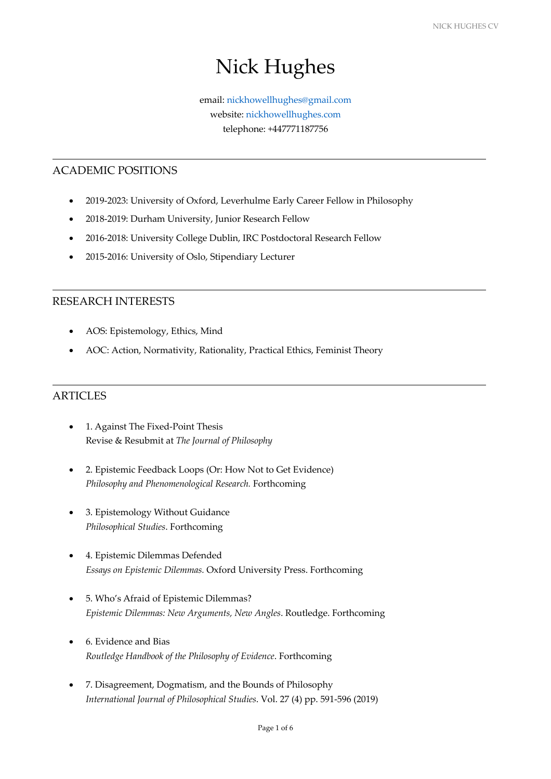l

 $\overline{a}$ 

# Nick Hughes

# email: nickhowellhughes@gmail.com website: nickhowellhughes.com telephone: +447771187756

# ACADEMIC POSITIONS

- 2019-2023: University of Oxford, Leverhulme Early Career Fellow in Philosophy
- 2018-2019: Durham University, Junior Research Fellow
- 2016-2018: University College Dublin, IRC Postdoctoral Research Fellow
- 2015-2016: University of Oslo, Stipendiary Lecturer

## RESEARCH INTERESTS

- AOS: Epistemology, Ethics, Mind
- AOC: Action, Normativity, Rationality, Practical Ethics, Feminist Theory

# ARTICLES

- 1. Against The Fixed-Point Thesis Revise & Resubmit at *The Journal of Philosophy*
- 2. Epistemic Feedback Loops (Or: How Not to Get Evidence) *Philosophy and Phenomenological Research.* Forthcoming
- 3. Epistemology Without Guidance *Philosophical Studies*. Forthcoming
- 4. Epistemic Dilemmas Defended *Essays on Epistemic Dilemmas.* Oxford University Press. Forthcoming
- 5. Who's Afraid of Epistemic Dilemmas? *Epistemic Dilemmas: New Arguments, New Angles*. Routledge. Forthcoming
- 6. Evidence and Bias *Routledge Handbook of the Philosophy of Evidence*. Forthcoming
- 7. Disagreement, Dogmatism, and the Bounds of Philosophy *International Journal of Philosophical Studies*. Vol. 27 (4) pp. 591-596 (2019)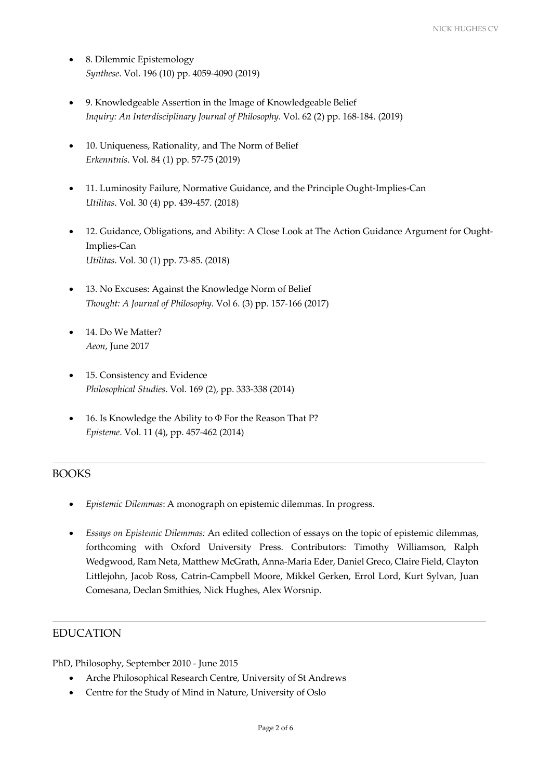- 8. Dilemmic Epistemology *Synthese*. Vol. 196 (10) pp. 4059-4090 (2019)
- 9. Knowledgeable Assertion in the Image of Knowledgeable Belief *Inquiry: An Interdisciplinary Journal of Philosophy*. Vol. 62 (2) pp. 168-184. (2019)
- 10. Uniqueness, Rationality, and The Norm of Belief *Erkenntnis*. Vol. 84 (1) pp. 57-75 (2019)
- 11. Luminosity Failure, Normative Guidance, and the Principle Ought-Implies-Can *Utilitas*. Vol. 30 (4) pp. 439-457. (2018)
- 12. Guidance, Obligations, and Ability: A Close Look at The Action Guidance Argument for Ought-Implies-Can *Utilitas*. Vol. 30 (1) pp. 73-85. (2018)
- 13. No Excuses: Against the Knowledge Norm of Belief *Thought: A Journal of Philosophy*. Vol 6. (3) pp. 157-166 (2017)
- 14. Do We Matter? *Aeon*, June 2017
- 15. Consistency and Evidence *Philosophical Studies*. Vol. 169 (2), pp. 333-338 (2014)
- 16. Is Knowledge the Ability to Φ For the Reason That P? *Episteme*. Vol. 11 (4), pp. 457-462 (2014)

# BOOKS

- *Epistemic Dilemmas*: A monograph on epistemic dilemmas. In progress.
- *Essays on Epistemic Dilemmas:* An edited collection of essays on the topic of epistemic dilemmas, forthcoming with Oxford University Press. Contributors: Timothy Williamson, Ralph Wedgwood, Ram Neta, Matthew McGrath, Anna-Maria Eder, Daniel Greco, Claire Field, Clayton Littlejohn, Jacob Ross, Catrin-Campbell Moore, Mikkel Gerken, Errol Lord, Kurt Sylvan, Juan Comesana, Declan Smithies, Nick Hughes, Alex Worsnip.

# **EDUCATION**

PhD, Philosophy, September 2010 - June 2015

- Arche Philosophical Research Centre, University of St Andrews
- Centre for the Study of Mind in Nature, University of Oslo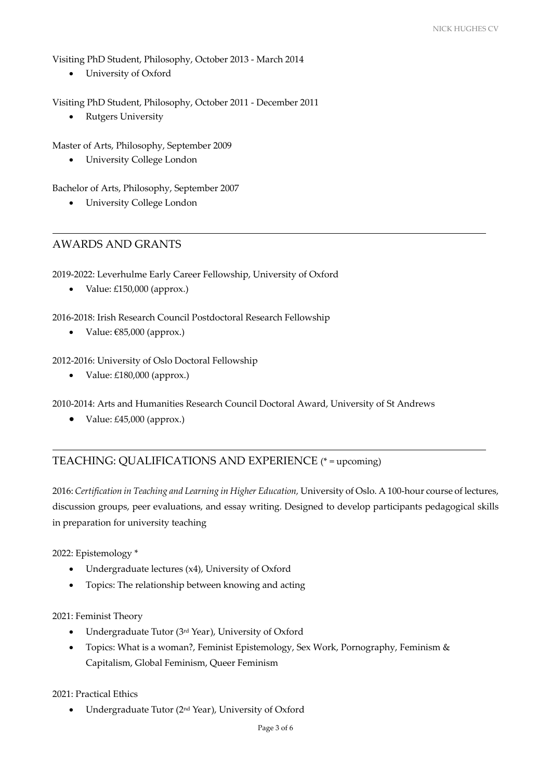Visiting PhD Student, Philosophy, October 2013 - March 2014

• University of Oxford

Visiting PhD Student, Philosophy, October 2011 - December 2011

• Rutgers University

Master of Arts, Philosophy, September 2009

• University College London

Bachelor of Arts, Philosophy, September 2007

• University College London

# AWARDS AND GRANTS

2019-2022: Leverhulme Early Career Fellowship, University of Oxford

• Value: £150,000 (approx.)

2016-2018: Irish Research Council Postdoctoral Research Fellowship

• Value: €85,000 (approx.)

2012-2016: University of Oslo Doctoral Fellowship

• Value: £180,000 (approx.)

2010-2014: Arts and Humanities Research Council Doctoral Award, University of St Andrews

• Value: £45,000 (approx.)

# TEACHING: QUALIFICATIONS AND EXPERIENCE (\* = upcoming)

2016: *Certification in Teaching and Learning in Higher Education,* University of Oslo. A 100-hour course of lectures, discussion groups, peer evaluations, and essay writing. Designed to develop participants pedagogical skills in preparation for university teaching

2022: Epistemology \*

- Undergraduate lectures (x4), University of Oxford
- Topics: The relationship between knowing and acting

## 2021: Feminist Theory

- Undergraduate Tutor (3rd Year), University of Oxford
- Topics: What is a woman?, Feminist Epistemology, Sex Work, Pornography, Feminism & Capitalism, Global Feminism, Queer Feminism

2021: Practical Ethics

• Undergraduate Tutor (2nd Year), University of Oxford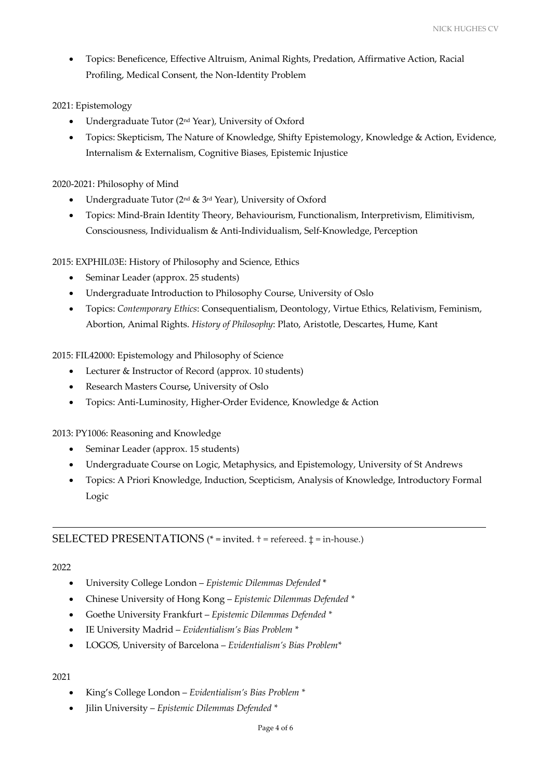• Topics: Beneficence, Effective Altruism, Animal Rights, Predation, Affirmative Action, Racial Profiling, Medical Consent, the Non-Identity Problem

# 2021: Epistemology

- Undergraduate Tutor (2nd Year), University of Oxford
- Topics: Skepticism, The Nature of Knowledge, Shifty Epistemology, Knowledge & Action, Evidence, Internalism & Externalism, Cognitive Biases, Epistemic Injustice

# 2020-2021: Philosophy of Mind

- Undergraduate Tutor ( $2<sup>nd</sup>$  &  $3<sup>rd</sup>$  Year), University of Oxford
- Topics: Mind-Brain Identity Theory, Behaviourism, Functionalism, Interpretivism, Elimitivism, Consciousness, Individualism & Anti-Individualism, Self-Knowledge, Perception

2015: EXPHIL03E: History of Philosophy and Science, Ethics

- Seminar Leader (approx. 25 students)
- Undergraduate Introduction to Philosophy Course, University of Oslo
- Topics: *Contemporary Ethics*: Consequentialism, Deontology, Virtue Ethics, Relativism, Feminism, Abortion, Animal Rights. *History of Philosophy*: Plato, Aristotle, Descartes, Hume, Kant

2015: FIL42000: Epistemology and Philosophy of Science

- Lecturer & Instructor of Record (approx. 10 students)
- Research Masters Course*,* University of Oslo
- Topics: Anti-Luminosity, Higher-Order Evidence, Knowledge & Action

2013: PY1006: Reasoning and Knowledge

- Seminar Leader (approx. 15 students)
- Undergraduate Course on Logic, Metaphysics, and Epistemology, University of St Andrews
- Topics: A Priori Knowledge, Induction, Scepticism, Analysis of Knowledge, Introductory Formal Logic

# SELECTED PRESENTATIONS (\* = invited. † = refereed. ‡ = in-house.)

## 2022

- University College London *Epistemic Dilemmas Defended* \*
- Chinese University of Hong Kong *Epistemic Dilemmas Defended \**
- Goethe University Frankfurt *Epistemic Dilemmas Defended \**
- IE University Madrid *Evidentialism's Bias Problem \**
- LOGOS, University of Barcelona *Evidentialism's Bias Problem\**

## 2021

- King's College London *Evidentialism's Bias Problem \**
- Jilin University *Epistemic Dilemmas Defended \**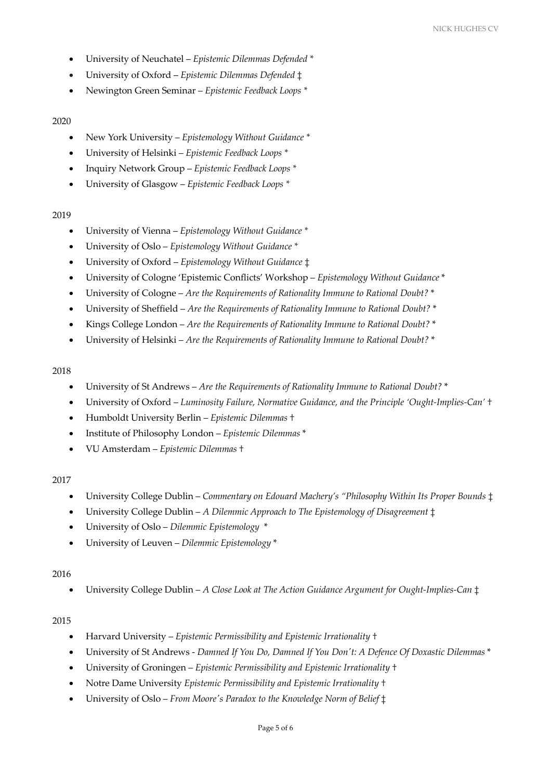- University of Neuchatel *Epistemic Dilemmas Defended \**
- University of Oxford *Epistemic Dilemmas Defended* ‡
- Newington Green Seminar *Epistemic Feedback Loops \**

#### 2020

- New York University *Epistemology Without Guidance \**
- University of Helsinki *Epistemic Feedback Loops \**
- Inquiry Network Group *Epistemic Feedback Loops \**
- University of Glasgow *Epistemic Feedback Loops \**

## 2019

- University of Vienna *Epistemology Without Guidance \**
- University of Oslo *Epistemology Without Guidance \**
- University of Oxford *Epistemology Without Guidance* ‡
- University of Cologne 'Epistemic Conflicts' Workshop *Epistemology Without Guidance* \*
- University of Cologne *Are the Requirements of Rationality Immune to Rational Doubt?* \*
- University of Sheffield *Are the Requirements of Rationality Immune to Rational Doubt?* \*
- Kings College London *Are the Requirements of Rationality Immune to Rational Doubt?* \*
- University of Helsinki *Are the Requirements of Rationality Immune to Rational Doubt?* \*

#### 2018

- University of St Andrews *Are the Requirements of Rationality Immune to Rational Doubt?* \*
- University of Oxford *Luminosity Failure, Normative Guidance, and the Principle 'Ought-Implies-Can'* †
- Humboldt University Berlin *Epistemic Dilemmas* †
- Institute of Philosophy London *Epistemic Dilemmas* \*
- VU Amsterdam *Epistemic Dilemmas* †

## 2017

- University College Dublin *Commentary on Edouard Machery's "Philosophy Within Its Proper Bounds* ‡
- University College Dublin *A Dilemmic Approach to The Epistemology of Disagreement* ‡
- University of Oslo *Dilemmic Epistemology* \*
- University of Leuven *Dilemmic Epistemology* \*

## 2016

• University College Dublin – *A Close Look at The Action Guidance Argument for Ought-Implies-Can* ‡

## 2015

- Harvard University *Epistemic Permissibility and Epistemic Irrationality* †
- University of St Andrews *Damned If You Do, Damned If You Don't: A Defence Of Doxastic Dilemmas* \*
- University of Groningen *Epistemic Permissibility and Epistemic Irrationality* †
- Notre Dame University *Epistemic Permissibility and Epistemic Irrationality* †
- University of Oslo *From Moore's Paradox to the Knowledge Norm of Belief* ‡